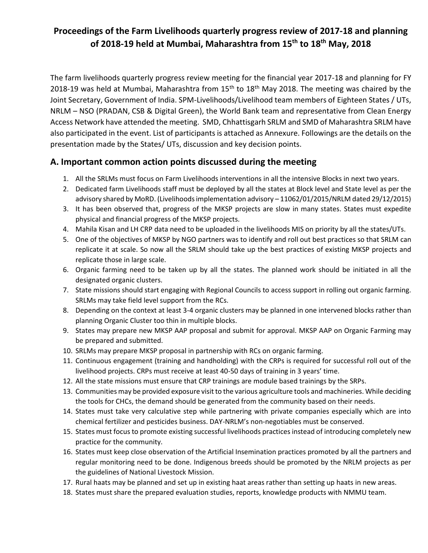# **Proceedings of the Farm Livelihoods quarterly progress review of 2017-18 and planning of 2018-19 held at Mumbai, Maharashtra from 15th to 18th May, 2018**

The farm livelihoods quarterly progress review meeting for the financial year 2017-18 and planning for FY 2018-19 was held at Mumbai, Maharashtra from  $15<sup>th</sup>$  to  $18<sup>th</sup>$  May 2018. The meeting was chaired by the Joint Secretary, Government of India. SPM-Livelihoods/Livelihood team members of Eighteen States / UTs, NRLM – NSO (PRADAN, CSB & Digital Green), the World Bank team and representative from Clean Energy Access Network have attended the meeting. SMD, Chhattisgarh SRLM and SMD of Maharashtra SRLM have also participated in the event. List of participants is attached as Annexure. Followings are the details on the presentation made by the States/ UTs, discussion and key decision points.

# **A. Important common action points discussed during the meeting**

- 1. All the SRLMs must focus on Farm Livelihoods interventions in all the intensive Blocks in next two years.
- 2. Dedicated farm Livelihoods staff must be deployed by all the states at Block level and State level as per the advisory shared by MoRD. (Livelihoods implementation advisory – 11062/01/2015/NRLM dated 29/12/2015)
- 3. It has been observed that, progress of the MKSP projects are slow in many states. States must expedite physical and financial progress of the MKSP projects.
- 4. Mahila Kisan and LH CRP data need to be uploaded in the livelihoods MIS on priority by all the states/UTs.
- 5. One of the objectives of MKSP by NGO partners was to identify and roll out best practices so that SRLM can replicate it at scale. So now all the SRLM should take up the best practices of existing MKSP projects and replicate those in large scale.
- 6. Organic farming need to be taken up by all the states. The planned work should be initiated in all the designated organic clusters.
- 7. State missions should start engaging with Regional Councils to access support in rolling out organic farming. SRLMs may take field level support from the RCs.
- 8. Depending on the context at least 3-4 organic clusters may be planned in one intervened blocks rather than planning Organic Cluster too thin in multiple blocks.
- 9. States may prepare new MKSP AAP proposal and submit for approval. MKSP AAP on Organic Farming may be prepared and submitted.
- 10. SRLMs may prepare MKSP proposal in partnership with RCs on organic farming.
- 11. Continuous engagement (training and handholding) with the CRPs is required for successful roll out of the livelihood projects. CRPs must receive at least 40-50 days of training in 3 years' time.
- 12. All the state missions must ensure that CRP trainings are module based trainings by the SRPs.
- 13. Communities may be provided exposure visit to the various agriculture tools and machineries. While deciding the tools for CHCs, the demand should be generated from the community based on their needs.
- 14. States must take very calculative step while partnering with private companies especially which are into chemical fertilizer and pesticides business. DAY-NRLM's non-negotiables must be conserved.
- 15. States must focus to promote existing successful livelihoods practices instead of introducing completely new practice for the community.
- 16. States must keep close observation of the Artificial Insemination practices promoted by all the partners and regular monitoring need to be done. Indigenous breeds should be promoted by the NRLM projects as per the guidelines of National Livestock Mission.
- 17. Rural haats may be planned and set up in existing haat areas rather than setting up haats in new areas.
- 18. States must share the prepared evaluation studies, reports, knowledge products with NMMU team.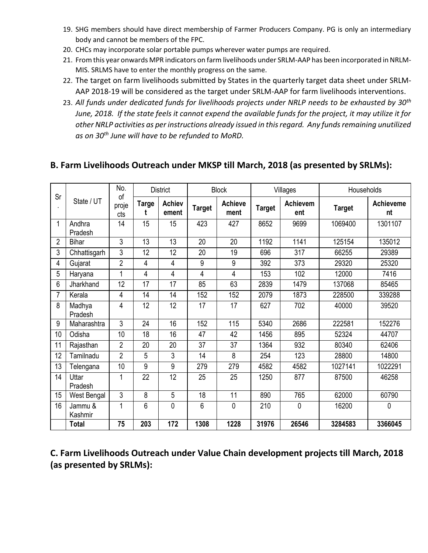- 19. SHG members should have direct membership of Farmer Producers Company. PG is only an intermediary body and cannot be members of the FPC.
- 20. CHCs may incorporate solar portable pumps wherever water pumps are required.
- 21. From this year onwards MPR indicators on farm livelihoods under SRLM-AAP has been incorporated in NRLM-MIS. SRLMS have to enter the monthly progress on the same.
- 22. The target on farm livelihoods submitted by States in the quarterly target data sheet under SRLM-AAP 2018-19 will be considered as the target under SRLM-AAP for farm livelihoods interventions.
- 23. *All funds under dedicated funds for livelihoods projects under NRLP needs to be exhausted by 30th June, 2018. If the state feels it cannot expend the available funds for the project, it may utilize it for other NRLP activities as per instructions already issued in this regard. Any funds remaining unutilized as on 30th June will have to be refunded to MoRD.*

# **B. Farm Livelihoods Outreach under MKSP till March, 2018 (as presented by SRLMs):**

| Sr             |                    | No.<br>of      | <b>District</b> |                        | <b>Block</b>  |                        | Villages      |                 | Households    |                        |
|----------------|--------------------|----------------|-----------------|------------------------|---------------|------------------------|---------------|-----------------|---------------|------------------------|
|                | State / UT         | proje<br>cts   | <b>Targe</b>    | <b>Achiev</b><br>ement | <b>Target</b> | <b>Achieve</b><br>ment | <b>Target</b> | Achievem<br>ent | <b>Target</b> | <b>Achieveme</b><br>nt |
| 1              | Andhra<br>Pradesh  | 14             | 15              | 15                     | 423           | 427                    | 8652          | 9699            | 1069400       | 1301107                |
| $\overline{2}$ | <b>Bihar</b>       | 3              | 13              | 13                     | 20            | 20                     | 1192          | 1141            | 125154        | 135012                 |
| 3              | Chhattisgarh       | 3              | 12              | 12                     | 20            | 19                     | 696           | 317             | 66255         | 29389                  |
| 4              | Gujarat            | $\overline{2}$ | 4               | 4                      | 9             | 9                      | 392           | 373             | 29320         | 25320                  |
| 5              | Haryana            | 1              | 4               | 4                      | 4             | 4                      | 153           | 102             | 12000         | 7416                   |
| 6              | Jharkhand          | 12             | 17              | 17                     | 85            | 63                     | 2839          | 1479            | 137068        | 85465                  |
| 7              | Kerala             | $\overline{4}$ | 14              | 14                     | 152           | 152                    | 2079          | 1873            | 228500        | 339288                 |
| 8              | Madhya<br>Pradesh  | 4              | 12              | 12                     | 17            | 17                     | 627           | 702             | 40000         | 39520                  |
| 9              | Maharashtra        | 3              | 24              | 16                     | 152           | 115                    | 5340          | 2686            | 222581        | 152276                 |
| 10             | Odisha             | 10             | 18              | 16                     | 47            | 42                     | 1456          | 895             | 52324         | 44707                  |
| 11             | Rajasthan          | $\overline{2}$ | 20              | 20                     | 37            | 37                     | 1364          | 932             | 80340         | 62406                  |
| 12             | Tamilnadu          | $\overline{2}$ | 5               | 3                      | 14            | 8                      | 254           | 123             | 28800         | 14800                  |
| 13             | Telengana          | 10             | 9               | 9                      | 279           | 279                    | 4582          | 4582            | 1027141       | 1022291                |
| 14             | Uttar<br>Pradesh   | 1              | 22              | 12                     | 25            | 25                     | 1250          | 877             | 87500         | 46258                  |
| 15             | West Bengal        | 3              | 8               | 5                      | 18            | 11                     | 890           | 765             | 62000         | 60790                  |
| 16             | Jammu &<br>Kashmir | 1              | 6               | 0                      | 6             | 0                      | 210           | 0               | 16200         | 0                      |
|                | <b>Total</b>       | 75             | 203             | 172                    | 1308          | 1228                   | 31976         | 26546           | 3284583       | 3366045                |

**C. Farm Livelihoods Outreach under Value Chain development projects till March, 2018 (as presented by SRLMs):**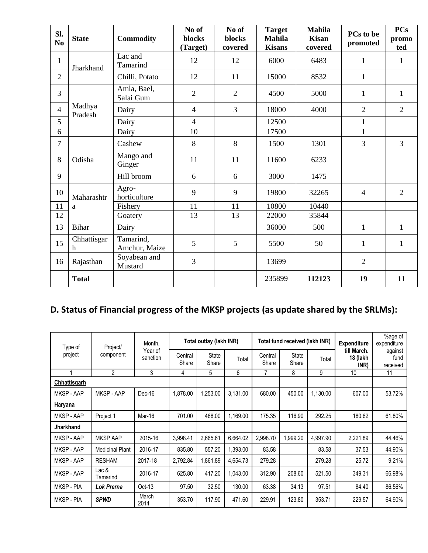| SI.<br>N <sub>0</sub> | <b>State</b>      | <b>Commodity</b>           | No of<br>blocks<br>(Target) | No of<br><b>blocks</b><br>covered | <b>Target</b><br><b>Mahila</b><br><b>Kisans</b> | <b>Mahila</b><br><b>Kisan</b><br>covered | PCs to be<br>promoted | <b>PCs</b><br>promo<br>ted |
|-----------------------|-------------------|----------------------------|-----------------------------|-----------------------------------|-------------------------------------------------|------------------------------------------|-----------------------|----------------------------|
| $\mathbf{1}$          | Jharkhand         | Lac and<br>Tamarind        | 12                          | 12                                | 6000                                            | 6483                                     | $\mathbf{1}$          | $\mathbf{1}$               |
| $\overline{2}$        |                   | Chilli, Potato             | 12                          | 11                                | 15000                                           | 8532                                     | $\mathbf{1}$          |                            |
| 3                     |                   | Amla, Bael,<br>Salai Gum   | $\overline{2}$              | $\overline{2}$                    | 4500                                            | 5000                                     | $\mathbf{1}$          | $\mathbf{1}$               |
| $\overline{4}$        | Madhya<br>Pradesh | Dairy                      | $\overline{4}$              | $\overline{3}$                    | 18000                                           | 4000                                     | $\overline{2}$        | $\overline{2}$             |
| 5                     |                   | Dairy                      | $\overline{4}$              |                                   | 12500                                           |                                          | $\mathbf{1}$          |                            |
| 6                     |                   | Dairy                      | 10                          |                                   | 17500                                           |                                          | $\mathbf{1}$          |                            |
| $\tau$                |                   | Cashew                     | 8                           | 8                                 | 1500                                            | 1301                                     | 3                     | $\overline{3}$             |
| 8                     | Odisha            | Mango and<br>Ginger        | 11                          | 11                                | 11600                                           | 6233                                     |                       |                            |
| 9                     |                   | Hill broom                 | 6                           | 6                                 | 3000                                            | 1475                                     |                       |                            |
| 10                    | Maharashtr        | Agro-<br>horticulture      | 9                           | 9                                 | 19800                                           | 32265                                    | $\overline{4}$        | $\overline{2}$             |
| 11                    | a                 | Fishery                    | 11                          | 11                                | 10800                                           | 10440                                    |                       |                            |
| 12                    |                   | Goatery                    | 13                          | 13                                | 22000                                           | 35844                                    |                       |                            |
| 13                    | <b>Bihar</b>      | Dairy                      |                             |                                   | 36000                                           | 500                                      | $\mathbf{1}$          | $\mathbf{1}$               |
| 15                    | Chhattisgar<br>h  | Tamarind,<br>Amchur, Maize | 5                           | 5                                 | 5500                                            | 50                                       | $\mathbf{1}$          | $\mathbf{1}$               |
| 16                    | Rajasthan         | Soyabean and<br>Mustard    | $\overline{3}$              |                                   | 13699                                           |                                          | $\overline{2}$        |                            |
|                       | <b>Total</b>      |                            |                             |                                   | 235899                                          | 112123                                   | 19                    | 11                         |

# **D. Status of Financial progress of the MKSP projects (as update shared by the SRLMs):**

| Type of        | Project/               | Month,              |                  | Total outlay (lakh INR) |          |                  | Total fund received (lakh INR) |          | <b>Expenditure</b>              | %age of<br>expenditure      |
|----------------|------------------------|---------------------|------------------|-------------------------|----------|------------------|--------------------------------|----------|---------------------------------|-----------------------------|
| project        | component              | Year of<br>sanction | Central<br>Share | State<br>Share          | Total    | Central<br>Share | <b>State</b><br>Share          | Total    | till March.<br>18 (lakh<br>INR) | against<br>fund<br>received |
|                | $\overline{2}$         | 3                   | 4                | 5                       | 6        | 7                | 8                              | 9        | 10                              | 11                          |
| Chhattisgarh   |                        |                     |                  |                         |          |                  |                                |          |                                 |                             |
| MKSP - AAP     | MKSP - AAP             | Dec-16              | 1,878.00         | 1,253.00                | 3,131.00 | 680.00           | 450.00                         | 1,130.00 | 607.00                          | 53.72%                      |
| <b>Haryana</b> |                        |                     |                  |                         |          |                  |                                |          |                                 |                             |
| MKSP - AAP     | Project 1              | Mar-16              | 701.00           | 468.00                  | 1,169.00 | 175.35           | 116.90                         | 292.25   | 180.62                          | 61.80%                      |
| Jharkhand      |                        |                     |                  |                         |          |                  |                                |          |                                 |                             |
| MKSP - AAP     | <b>MKSP AAP</b>        | 2015-16             | 3,998.41         | 2,665.61                | 6.664.02 | 2,998.70         | 1,999.20                       | 4,997.90 | 2,221.89                        | 44.46%                      |
| MKSP - AAP     | <b>Medicinal Plant</b> | 2016-17             | 835.80           | 557.20                  | 1.393.00 | 83.58            |                                | 83.58    | 37.53                           | 44.90%                      |
| MKSP - AAP     | <b>RESHAM</b>          | 2017-18             | 2,792.84         | 1.861.89                | 4,654.73 | 279.28           |                                | 279.28   | 25.72                           | 9.21%                       |
| MKSP - AAP     | Lac &<br>Tamarind      | 2016-17             | 625.80           | 417.20                  | 1,043.00 | 312.90           | 208.60                         | 521.50   | 349.31                          | 66.98%                      |
| MKSP - PIA     | <b>Lok Prerna</b>      | $Oct-13$            | 97.50            | 32.50                   | 130.00   | 63.38            | 34.13                          | 97.51    | 84.40                           | 86.56%                      |
| MKSP - PIA     | <b>SPWD</b>            | March<br>2014       | 353.70           | 117.90                  | 471.60   | 229.91           | 123.80                         | 353.71   | 229.57                          | 64.90%                      |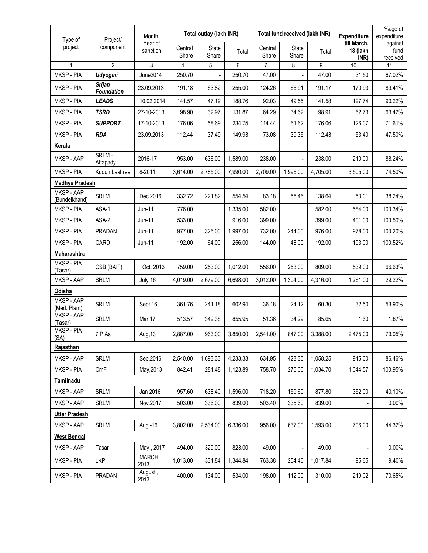| Type of                     | Project/                           | Month,              | Total outlay (lakh INR) |                |          | Total fund received (lakh INR) |                |          | <b>Expenditure</b>              | %age of<br>expenditure      |
|-----------------------------|------------------------------------|---------------------|-------------------------|----------------|----------|--------------------------------|----------------|----------|---------------------------------|-----------------------------|
| project                     | component                          | Year of<br>sanction | Central<br>Share        | State<br>Share | Total    | Central<br>Share               | State<br>Share | Total    | till March.<br>18 (lakh<br>INR) | against<br>fund<br>received |
| 1                           | $\overline{2}$                     | 3                   | 4                       | 5              | 6        | $\overline{7}$                 | 8              | 9        | 10                              | 11                          |
| MKSP - PIA                  | <b>Udyogini</b>                    | <b>June2014</b>     | 250.70                  |                | 250.70   | 47.00                          |                | 47.00    | 31.50                           | 67.02%                      |
| MKSP - PIA                  | <b>Srijan</b><br><b>Foundation</b> | 23.09.2013          | 191.18                  | 63.82          | 255.00   | 124.26                         | 66.91          | 191.17   | 170.93                          | 89.41%                      |
| MKSP - PIA                  | <b>LEADS</b>                       | 10.02.2014          | 141.57                  | 47.19          | 188.76   | 92.03                          | 49.55          | 141.58   | 127.74                          | 90.22%                      |
| MKSP - PIA                  | <b>TSRD</b>                        | 27-10-2013          | 98.90                   | 32.97          | 131.87   | 64.29                          | 34.62          | 98.91    | 62.73                           | 63.42%                      |
| MKSP - PIA                  | <b>SUPPORT</b>                     | 17-10-2013          | 176.06                  | 58.69          | 234.75   | 114.44                         | 61.62          | 176.06   | 126.07                          | 71.61%                      |
| MKSP - PIA                  | <b>RDA</b>                         | 23.09.2013          | 112.44                  | 37.49          | 149.93   | 73.08                          | 39.35          | 112.43   | 53.40                           | 47.50%                      |
| Kerala                      |                                    |                     |                         |                |          |                                |                |          |                                 |                             |
| MKSP - AAP                  | SRLM-<br>Attapady                  | 2016-17             | 953.00                  | 636.00         | 1,589.00 | 238.00                         |                | 238.00   | 210.00                          | 88.24%                      |
| MKSP - PIA                  | Kudumbashree                       | 8-2011              | 3.614.00                | 2,785.00       | 7.990.00 | 2,709.00                       | 1,996.00       | 4.705.00 | 3,505.00                        | 74.50%                      |
| <b>Madhya Pradesh</b>       |                                    |                     |                         |                |          |                                |                |          |                                 |                             |
| MKSP - AAP<br>(Bundelkhand) | <b>SRLM</b>                        | Dec 2016            | 332.72                  | 221.82         | 554.54   | 83.18                          | 55.46          | 138.64   | 53.01                           | 38.24%                      |
| MKSP - PIA                  | ASA-1                              | $Jun-11$            | 776.00                  |                | 1,335.00 | 582.00                         |                | 582.00   | 584.00                          | 100.34%                     |
| MKSP - PIA                  | ASA-2                              | Jun-11              | 533.00                  |                | 916.00   | 399.00                         |                | 399.00   | 401.00                          | 100.50%                     |
| MKSP - PIA                  | PRADAN                             | $Jun-11$            | 977.00                  | 326.00         | 1,997.00 | 732.00                         | 244.00         | 976.00   | 978.00                          | 100.20%                     |
| MKSP - PIA                  | CARD                               | Jun-11              | 192.00                  | 64.00          | 256.00   | 144.00                         | 48.00          | 192.00   | 193.00                          | 100.52%                     |
| <b>Maharashtra</b>          |                                    |                     |                         |                |          |                                |                |          |                                 |                             |
| MKSP - PIA<br>(Tasar)       | CSB (BAIF)                         | Oct. 2013           | 759.00                  | 253.00         | 1,012.00 | 556.00                         | 253.00         | 809.00   | 539.00                          | 66.63%                      |
| MKSP - AAP                  | <b>SRLM</b>                        | July 16             | 4,019.00                | 2,679.00       | 6,698.00 | 3,012.00                       | 1,304.00       | 4,316.00 | 1,261.00                        | 29.22%                      |
| <b>Odisha</b>               |                                    |                     |                         |                |          |                                |                |          |                                 |                             |
| MKSP - AAP<br>(Med. Plant)  | <b>SRLM</b>                        | Sept, 16            | 361.76                  | 241.18         | 602.94   | 36.18                          | 24.12          | 60.30    | 32.50                           | 53.90%                      |
| MKSP - AAP<br>(Tasar)       | <b>SRLM</b>                        | Mar, 17             | 513.57                  | 342.38         | 855.95   | 51.36                          | 34.29          | 85.65    | 1.60                            | 1.87%                       |
| MKSP - PIA<br>(SA)          | 7 PIAs                             | Aug, 13             | 2,887.00                | 963.00         | 3,850.00 | 2,541.00                       | 847.00         | 3,388.00 | 2,475.00                        | 73.05%                      |
| Rajasthan                   |                                    |                     |                         |                |          |                                |                |          |                                 |                             |
| MKSP - AAP                  | SRLM                               | Sep.2016            | 2,540.00                | 1,693.33       | 4,233.33 | 634.95                         | 423.30         | 1,058.25 | 915.00                          | 86.46%                      |
| MKSP - PIA                  | CmF                                | May, 2013           | 842.41                  | 281.48         | 1,123.89 | 758.70                         | 276.00         | 1,034.70 | 1,044.57                        | 100.95%                     |
| <b>Tamilnadu</b>            |                                    |                     |                         |                |          |                                |                |          |                                 |                             |
| MKSP - AAP                  | <b>SRLM</b>                        | Jan 2016            | 957.60                  | 638.40         | 1,596.00 | 718.20                         | 159.60         | 877.80   | 352.00                          | 40.10%                      |
| MKSP - AAP                  | SRLM                               | Nov.2017            | 503.00                  | 336.00         | 839.00   | 503.40                         | 335.60         | 839.00   |                                 | 0.00%                       |
| <b>Uttar Pradesh</b>        |                                    |                     |                         |                |          |                                |                |          |                                 |                             |
| MKSP - AAP                  | SRLM                               | Aug - 16            | 3,802.00                | 2,534.00       | 6,336.00 | 956.00                         | 637.00         | 1,593.00 | 706.00                          | 44.32%                      |
| <b>West Bengal</b>          |                                    |                     |                         |                |          |                                |                |          |                                 |                             |
| MKSP - AAP                  | Tasar                              | May, 2017           | 494.00                  | 329.00         | 823.00   | 49.00                          |                | 49.00    |                                 | 0.00%                       |
| MKSP - PIA                  | <b>LKP</b>                         | MARCH,<br>2013      | 1,013.00                | 331.84         | 1,344.84 | 763.38                         | 254.46         | 1,017.84 | 95.65                           | 9.40%                       |
| MKSP - PIA                  | PRADAN                             | August,<br>2013     | 400.00                  | 134.00         | 534.00   | 198.00                         | 112.00         | 310.00   | 219.02                          | 70.65%                      |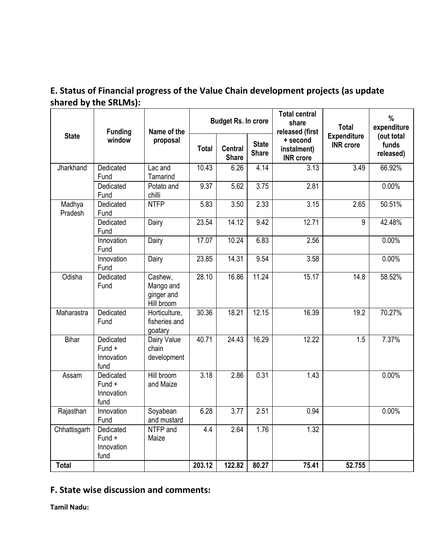# **E. Status of Financial progress of the Value Chain development projects (as update shared by the SRLMs):**

|                   | <b>Funding</b>                            | Name of the                                      | <b>Budget Rs. In crore</b> |                                |                              | <b>Total central</b><br>share<br>released (first | <b>Total</b>                           | $\frac{0}{0}$<br>expenditure     |
|-------------------|-------------------------------------------|--------------------------------------------------|----------------------------|--------------------------------|------------------------------|--------------------------------------------------|----------------------------------------|----------------------------------|
| <b>State</b>      | window                                    | proposal                                         | <b>Total</b>               | <b>Central</b><br><b>Share</b> | <b>State</b><br><b>Share</b> | + second<br>instalment)<br><b>INR</b> crore      | <b>Expenditure</b><br><b>INR</b> crore | (out total<br>funds<br>released) |
| Jharkhand         | Dedicated<br>Fund                         | Lac and<br>Tamarind                              | 10.43                      | 6.26                           | 4.14                         | 3.13                                             | 3.49                                   | 66.92%                           |
|                   | Dedicated<br>Fund                         | Potato and<br>chilli                             | 9.37                       | 5.62                           | 3.75                         | $\overline{2.81}$                                |                                        | 0.00%                            |
| Madhya<br>Pradesh | Dedicated<br>Fund                         | <b>NTFP</b>                                      | 5.83                       | 3.50                           | 2.33                         | 3.15                                             | 2.65                                   | 50.51%                           |
|                   | Dedicated<br>Fund                         | Dairy                                            | 23.54                      | 14.12                          | 9.42                         | 12.71                                            | 9                                      | 42.48%                           |
|                   | Innovation<br>Fund                        | Dairy                                            | 17.07                      | 10.24                          | 6.83                         | 2.56                                             |                                        | 0.00%                            |
|                   | Innovation<br>Fund                        | Dairy                                            | 23.85                      | 14.31                          | 9.54                         | 3.58                                             |                                        | 0.00%                            |
| Odisha            | Dedicated<br>Fund                         | Cashew,<br>Mango and<br>ginger and<br>Hill broom | 28.10                      | 16.86                          | 11.24                        | 15.17                                            | 14.8                                   | 58.52%                           |
| Maharastra        | Dedicated<br>Fund                         | Horticulture,<br>fisheries and<br>goatary        | 30.36                      | 18.21                          | 12.15                        | 16.39                                            | 19.2                                   | 70.27%                           |
| Bihar             | Dedicated<br>Fund +<br>Innovation<br>fund | Dairy Value<br>chain<br>development              | 40.71                      | $\sqrt{24.43}$                 | 16.29                        | 12.22                                            | 1.5                                    | 7.37%                            |
| Assam             | Dedicated<br>Fund +<br>Innovation<br>fund | Hill broom<br>and Maize                          | 3.18                       | 2.86                           | 0.31                         | 1.43                                             |                                        | 0.00%                            |
| Rajasthan         | Innovation<br>Fund                        | Soyabean<br>and mustard                          | 6.28                       | 3.77                           | 2.51                         | 0.94                                             |                                        | 0.00%                            |
| Chhattisgarh      | Dedicated<br>Fund +<br>Innovation<br>fund | NTFP and<br>Maize                                | 4.4                        | 2.64                           | 1.76                         | 1.32                                             |                                        |                                  |
| <b>Total</b>      |                                           |                                                  | 203.12                     | 122.82                         | 80.27                        | 75.41                                            | 52.755                                 |                                  |

# **F. State wise discussion and comments:**

**Tamil Nadu:**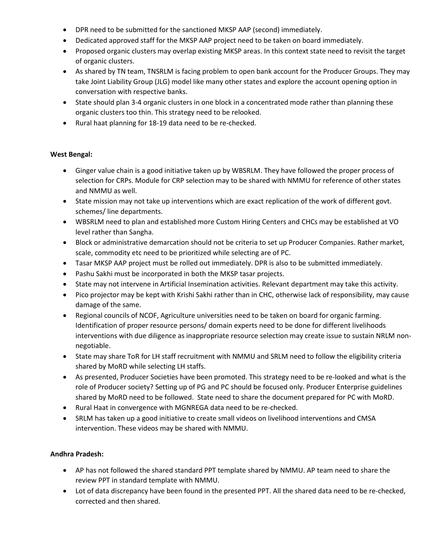- DPR need to be submitted for the sanctioned MKSP AAP (second) immediately.
- Dedicated approved staff for the MKSP AAP project need to be taken on board immediately.
- Proposed organic clusters may overlap existing MKSP areas. In this context state need to revisit the target of organic clusters.
- As shared by TN team, TNSRLM is facing problem to open bank account for the Producer Groups. They may take Joint Liability Group (JLG) model like many other states and explore the account opening option in conversation with respective banks.
- State should plan 3-4 organic clusters in one block in a concentrated mode rather than planning these organic clusters too thin. This strategy need to be relooked.
- Rural haat planning for 18-19 data need to be re-checked.

## **West Bengal:**

- Ginger value chain is a good initiative taken up by WBSRLM. They have followed the proper process of selection for CRPs. Module for CRP selection may to be shared with NMMU for reference of other states and NMMU as well.
- State mission may not take up interventions which are exact replication of the work of different govt. schemes/ line departments.
- WBSRLM need to plan and established more Custom Hiring Centers and CHCs may be established at VO level rather than Sangha.
- Block or administrative demarcation should not be criteria to set up Producer Companies. Rather market, scale, commodity etc need to be prioritized while selecting are of PC.
- Tasar MKSP AAP project must be rolled out immediately. DPR is also to be submitted immediately.
- Pashu Sakhi must be incorporated in both the MKSP tasar projects.
- State may not intervene in Artificial Insemination activities. Relevant department may take this activity.
- Pico projector may be kept with Krishi Sakhi rather than in CHC, otherwise lack of responsibility, may cause damage of the same.
- Regional councils of NCOF, Agriculture universities need to be taken on board for organic farming. Identification of proper resource persons/ domain experts need to be done for different livelihoods interventions with due diligence as inappropriate resource selection may create issue to sustain NRLM nonnegotiable.
- State may share ToR for LH staff recruitment with NMMU and SRLM need to follow the eligibility criteria shared by MoRD while selecting LH staffs.
- As presented, Producer Societies have been promoted. This strategy need to be re-looked and what is the role of Producer society? Setting up of PG and PC should be focused only. Producer Enterprise guidelines shared by MoRD need to be followed. State need to share the document prepared for PC with MoRD.
- Rural Haat in convergence with MGNREGA data need to be re-checked.
- SRLM has taken up a good initiative to create small videos on livelihood interventions and CMSA intervention. These videos may be shared with NMMU.

# **Andhra Pradesh:**

- AP has not followed the shared standard PPT template shared by NMMU. AP team need to share the review PPT in standard template with NMMU.
- Lot of data discrepancy have been found in the presented PPT. All the shared data need to be re-checked, corrected and then shared.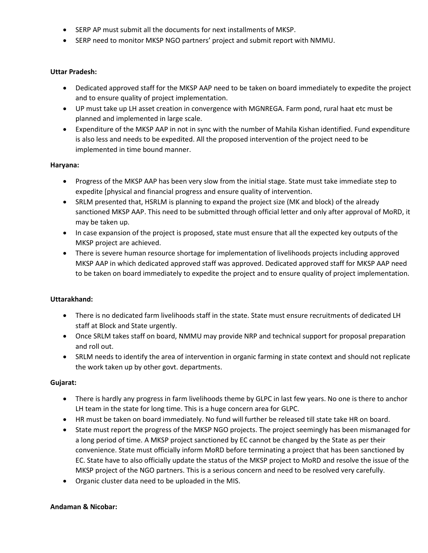- SERP AP must submit all the documents for next installments of MKSP.
- SERP need to monitor MKSP NGO partners' project and submit report with NMMU.

#### **Uttar Pradesh:**

- Dedicated approved staff for the MKSP AAP need to be taken on board immediately to expedite the project and to ensure quality of project implementation.
- UP must take up LH asset creation in convergence with MGNREGA. Farm pond, rural haat etc must be planned and implemented in large scale.
- Expenditure of the MKSP AAP in not in sync with the number of Mahila Kishan identified. Fund expenditure is also less and needs to be expedited. All the proposed intervention of the project need to be implemented in time bound manner.

#### **Haryana:**

- Progress of the MKSP AAP has been very slow from the initial stage. State must take immediate step to expedite [physical and financial progress and ensure quality of intervention.
- SRLM presented that, HSRLM is planning to expand the project size (MK and block) of the already sanctioned MKSP AAP. This need to be submitted through official letter and only after approval of MoRD, it may be taken up.
- In case expansion of the project is proposed, state must ensure that all the expected key outputs of the MKSP project are achieved.
- There is severe human resource shortage for implementation of livelihoods projects including approved MKSP AAP in which dedicated approved staff was approved. Dedicated approved staff for MKSP AAP need to be taken on board immediately to expedite the project and to ensure quality of project implementation.

### **Uttarakhand:**

- There is no dedicated farm livelihoods staff in the state. State must ensure recruitments of dedicated LH staff at Block and State urgently.
- Once SRLM takes staff on board, NMMU may provide NRP and technical support for proposal preparation and roll out.
- SRLM needs to identify the area of intervention in organic farming in state context and should not replicate the work taken up by other govt. departments.

#### **Gujarat:**

- There is hardly any progress in farm livelihoods theme by GLPC in last few years. No one is there to anchor LH team in the state for long time. This is a huge concern area for GLPC.
- HR must be taken on board immediately. No fund will further be released till state take HR on board.
- State must report the progress of the MKSP NGO projects. The project seemingly has been mismanaged for a long period of time. A MKSP project sanctioned by EC cannot be changed by the State as per their convenience. State must officially inform MoRD before terminating a project that has been sanctioned by EC. State have to also officially update the status of the MKSP project to MoRD and resolve the issue of the MKSP project of the NGO partners. This is a serious concern and need to be resolved very carefully.
- Organic cluster data need to be uploaded in the MIS.

#### **Andaman & Nicobar:**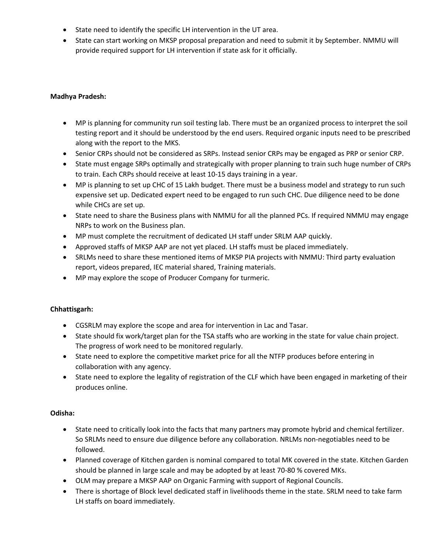- State need to identify the specific LH intervention in the UT area.
- State can start working on MKSP proposal preparation and need to submit it by September. NMMU will provide required support for LH intervention if state ask for it officially.

#### **Madhya Pradesh:**

- MP is planning for community run soil testing lab. There must be an organized process to interpret the soil testing report and it should be understood by the end users. Required organic inputs need to be prescribed along with the report to the MKS.
- Senior CRPs should not be considered as SRPs. Instead senior CRPs may be engaged as PRP or senior CRP.
- State must engage SRPs optimally and strategically with proper planning to train such huge number of CRPs to train. Each CRPs should receive at least 10-15 days training in a year.
- MP is planning to set up CHC of 15 Lakh budget. There must be a business model and strategy to run such expensive set up. Dedicated expert need to be engaged to run such CHC. Due diligence need to be done while CHCs are set up.
- State need to share the Business plans with NMMU for all the planned PCs. If required NMMU may engage NRPs to work on the Business plan.
- MP must complete the recruitment of dedicated LH staff under SRLM AAP quickly.
- Approved staffs of MKSP AAP are not yet placed. LH staffs must be placed immediately.
- SRLMs need to share these mentioned items of MKSP PIA projects with NMMU: Third party evaluation report, videos prepared, IEC material shared, Training materials.
- MP may explore the scope of Producer Company for turmeric.

#### **Chhattisgarh:**

- CGSRLM may explore the scope and area for intervention in Lac and Tasar.
- State should fix work/target plan for the TSA staffs who are working in the state for value chain project. The progress of work need to be monitored regularly.
- State need to explore the competitive market price for all the NTFP produces before entering in collaboration with any agency.
- State need to explore the legality of registration of the CLF which have been engaged in marketing of their produces online.

#### **Odisha:**

- State need to critically look into the facts that many partners may promote hybrid and chemical fertilizer. So SRLMs need to ensure due diligence before any collaboration. NRLMs non-negotiables need to be followed.
- Planned coverage of Kitchen garden is nominal compared to total MK covered in the state. Kitchen Garden should be planned in large scale and may be adopted by at least 70-80 % covered MKs.
- OLM may prepare a MKSP AAP on Organic Farming with support of Regional Councils.
- There is shortage of Block level dedicated staff in livelihoods theme in the state. SRLM need to take farm LH staffs on board immediately.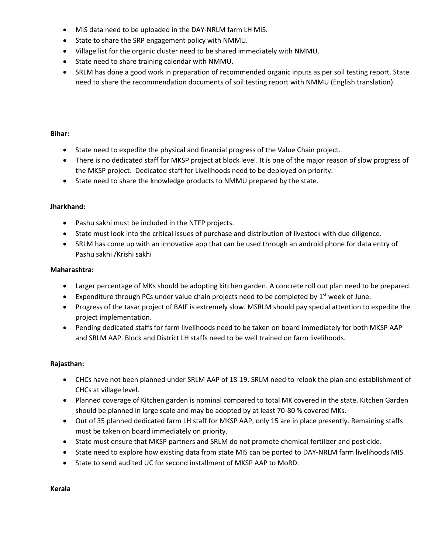- MIS data need to be uploaded in the DAY-NRLM farm LH MIS.
- State to share the SRP engagement policy with NMMU.
- Village list for the organic cluster need to be shared immediately with NMMU.
- State need to share training calendar with NMMU.
- SRLM has done a good work in preparation of recommended organic inputs as per soil testing report. State need to share the recommendation documents of soil testing report with NMMU (English translation).

#### **Bihar:**

- State need to expedite the physical and financial progress of the Value Chain project.
- There is no dedicated staff for MKSP project at block level. It is one of the major reason of slow progress of the MKSP project. Dedicated staff for Livelihoods need to be deployed on priority.
- State need to share the knowledge products to NMMU prepared by the state.

#### **Jharkhand:**

- Pashu sakhi must be included in the NTFP projects.
- State must look into the critical issues of purchase and distribution of livestock with due diligence.
- SRLM has come up with an innovative app that can be used through an android phone for data entry of Pashu sakhi /Krishi sakhi

#### **Maharashtra:**

- Larger percentage of MKs should be adopting kitchen garden. A concrete roll out plan need to be prepared.
- Expenditure through PCs under value chain projects need to be completed by  $1<sup>st</sup>$  week of June.
- Progress of the tasar project of BAIF is extremely slow. MSRLM should pay special attention to expedite the project implementation.
- Pending dedicated staffs for farm livelihoods need to be taken on board immediately for both MKSP AAP and SRLM AAP. Block and District LH staffs need to be well trained on farm livelihoods.

#### **Rajasthan:**

- CHCs have not been planned under SRLM AAP of 18-19. SRLM need to relook the plan and establishment of CHCs at village level.
- Planned coverage of Kitchen garden is nominal compared to total MK covered in the state. Kitchen Garden should be planned in large scale and may be adopted by at least 70-80 % covered MKs.
- Out of 35 planned dedicated farm LH staff for MKSP AAP, only 15 are in place presently. Remaining staffs must be taken on board immediately on priority.
- State must ensure that MKSP partners and SRLM do not promote chemical fertilizer and pesticide.
- State need to explore how existing data from state MIS can be ported to DAY-NRLM farm livelihoods MIS.
- State to send audited UC for second installment of MKSP AAP to MoRD.

**Kerala**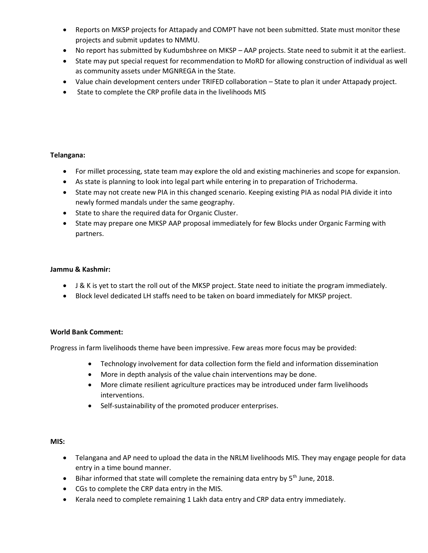- Reports on MKSP projects for Attapady and COMPT have not been submitted. State must monitor these projects and submit updates to NMMU.
- No report has submitted by Kudumbshree on MKSP AAP projects. State need to submit it at the earliest.
- State may put special request for recommendation to MoRD for allowing construction of individual as well as community assets under MGNREGA in the State.
- Value chain development centers under TRIFED collaboration State to plan it under Attapady project.
- State to complete the CRP profile data in the livelihoods MIS

## **Telangana:**

- For millet processing, state team may explore the old and existing machineries and scope for expansion.
- As state is planning to look into legal part while entering in to preparation of Trichoderma.
- State may not create new PIA in this changed scenario. Keeping existing PIA as nodal PIA divide it into newly formed mandals under the same geography.
- State to share the required data for Organic Cluster.
- State may prepare one MKSP AAP proposal immediately for few Blocks under Organic Farming with partners.

### **Jammu & Kashmir:**

- J & K is yet to start the roll out of the MKSP project. State need to initiate the program immediately.
- Block level dedicated LH staffs need to be taken on board immediately for MKSP project.

### **World Bank Comment:**

Progress in farm livelihoods theme have been impressive. Few areas more focus may be provided:

- Technology involvement for data collection form the field and information dissemination
- More in depth analysis of the value chain interventions may be done.
- More climate resilient agriculture practices may be introduced under farm livelihoods interventions.
- Self-sustainability of the promoted producer enterprises.

#### **MIS:**

- Telangana and AP need to upload the data in the NRLM livelihoods MIS. They may engage people for data entry in a time bound manner.
- $\bullet$  Bihar informed that state will complete the remaining data entry by 5<sup>th</sup> June, 2018.
- CGs to complete the CRP data entry in the MIS.
- Kerala need to complete remaining 1 Lakh data entry and CRP data entry immediately.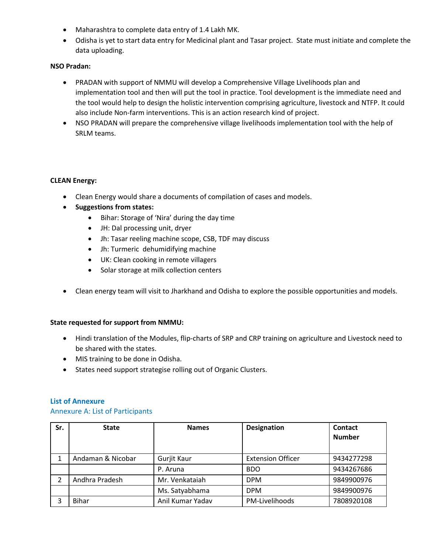- Maharashtra to complete data entry of 1.4 Lakh MK.
- Odisha is yet to start data entry for Medicinal plant and Tasar project. State must initiate and complete the data uploading.

#### **NSO Pradan:**

- PRADAN with support of NMMU will develop a Comprehensive Village Livelihoods plan and implementation tool and then will put the tool in practice. Tool development is the immediate need and the tool would help to design the holistic intervention comprising agriculture, livestock and NTFP. It could also include Non-farm interventions. This is an action research kind of project.
- NSO PRADAN will prepare the comprehensive village livelihoods implementation tool with the help of SRLM teams.

#### **CLEAN Energy:**

- Clean Energy would share a documents of compilation of cases and models.
- **Suggestions from states:** 
	- Bihar: Storage of 'Nira' during the day time
	- JH: Dal processing unit, dryer
	- Jh: Tasar reeling machine scope, CSB, TDF may discuss
	- Jh: Turmeric dehumidifying machine
	- UK: Clean cooking in remote villagers
	- Solar storage at milk collection centers
- Clean energy team will visit to Jharkhand and Odisha to explore the possible opportunities and models.

#### **State requested for support from NMMU:**

- Hindi translation of the Modules, flip-charts of SRP and CRP training on agriculture and Livestock need to be shared with the states.
- MIS training to be done in Odisha.
- States need support strategise rolling out of Organic Clusters.

#### **List of Annexure**

#### Annexure A: List of Participants

| Sr. | <b>State</b>      | <b>Names</b>     | <b>Designation</b>       | Contact<br><b>Number</b> |
|-----|-------------------|------------------|--------------------------|--------------------------|
|     | Andaman & Nicobar | Gurjit Kaur      | <b>Extension Officer</b> | 9434277298               |
|     |                   | P. Aruna         | <b>BDO</b>               | 9434267686               |
| າ   | Andhra Pradesh    | Mr. Venkataiah   | <b>DPM</b>               | 9849900976               |
|     |                   | Ms. Satyabhama   | <b>DPM</b>               | 9849900976               |
| ੨   | <b>Bihar</b>      | Anil Kumar Yadav | PM-Livelihoods           | 7808920108               |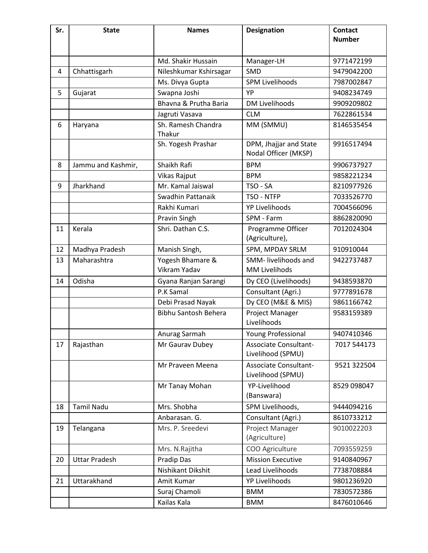| Sr. | <b>State</b>         | <b>Names</b>                     | <b>Designation</b>                             | <b>Contact</b><br><b>Number</b> |
|-----|----------------------|----------------------------------|------------------------------------------------|---------------------------------|
|     |                      |                                  |                                                |                                 |
|     |                      | Md. Shakir Hussain               | Manager-LH                                     | 9771472199                      |
| 4   | Chhattisgarh         | Nileshkumar Kshirsagar           | <b>SMD</b>                                     | 9479042200                      |
|     |                      | Ms. Divya Gupta                  | <b>SPM Livelihoods</b>                         | 7987002847                      |
| 5   | Gujarat              | Swapna Joshi                     | YP                                             | 9408234749                      |
|     |                      | Bhavna & Prutha Baria            | <b>DM Livelihoods</b>                          | 9909209802                      |
|     |                      | Jagruti Vasava                   | <b>CLM</b>                                     | 7622861534                      |
| 6   | Haryana              | Sh. Ramesh Chandra<br>Thakur     | MM (SMMU)                                      | 8146535454                      |
|     |                      | Sh. Yogesh Prashar               | DPM, Jhajjar and State<br>Nodal Officer (MKSP) | 9916517494                      |
| 8   | Jammu and Kashmir,   | Shaikh Rafi                      | <b>BPM</b>                                     | 9906737927                      |
|     |                      | Vikas Rajput                     | <b>BPM</b>                                     | 9858221234                      |
| 9   | Jharkhand            | Mr. Kamal Jaiswal                | TSO - SA                                       | 8210977926                      |
|     |                      | Swadhin Pattanaik                | TSO - NTFP                                     | 7033526770                      |
|     |                      | Rakhi Kumari                     | <b>YP Livelihoods</b>                          | 7004566096                      |
|     |                      | Pravin Singh                     | SPM - Farm                                     | 8862820090                      |
| 11  | Kerala               | Shri. Dathan C.S.                | Programme Officer<br>(Agriculture),            | 7012024304                      |
| 12  | Madhya Pradesh       | Manish Singh,                    | SPM, MPDAY SRLM                                | 910910044                       |
| 13  | Maharashtra          | Yogesh Bhamare &<br>Vikram Yadav | SMM- livelihoods and<br><b>MM Livelihods</b>   | 9422737487                      |
| 14  | Odisha               | Gyana Ranjan Sarangi             | Dy CEO (Livelihoods)                           | 9438593870                      |
|     |                      | P.K Samal                        | Consultant (Agri.)                             | 9777891678                      |
|     |                      | Debi Prasad Nayak                | Dy CEO (M&E & MIS)                             | 9861166742                      |
|     |                      | Bibhu Santosh Behera             | Project Manager<br>Livelihoods                 | 9583159389                      |
|     |                      | Anurag Sarmah                    | Young Professional                             | 9407410346                      |
| 17  | Rajasthan            | Mr Gaurav Dubey                  | Associate Consultant-<br>Livelihood (SPMU)     | 7017 544173                     |
|     |                      | Mr Praveen Meena                 | Associate Consultant-<br>Livelihood (SPMU)     | 9521 322504                     |
|     |                      | Mr Tanay Mohan                   | YP-Livelihood<br>(Banswara)                    | 8529 098047                     |
| 18  | <b>Tamil Nadu</b>    | Mrs. Shobha                      | SPM Livelihoods,                               | 9444094216                      |
|     |                      | Anbarasan. G.                    | Consultant (Agri.)                             | 8610733212                      |
| 19  | Telangana            | Mrs. P. Sreedevi                 | Project Manager<br>(Agriculture)               | 9010022203                      |
|     |                      | Mrs. N.Rajitha                   | COO Agriculture                                | 7093559259                      |
| 20  | <b>Uttar Pradesh</b> | Pradip Das                       | <b>Mission Executive</b>                       | 9140840967                      |
|     |                      | Nishikant Dikshit                | Lead Livelihoods                               | 7738708884                      |
| 21  | Uttarakhand          | Amit Kumar                       | <b>YP Livelihoods</b>                          | 9801236920                      |
|     |                      | Suraj Chamoli                    | <b>BMM</b>                                     | 7830572386                      |
|     |                      | Kailas Kala                      | <b>BMM</b>                                     | 8476010646                      |